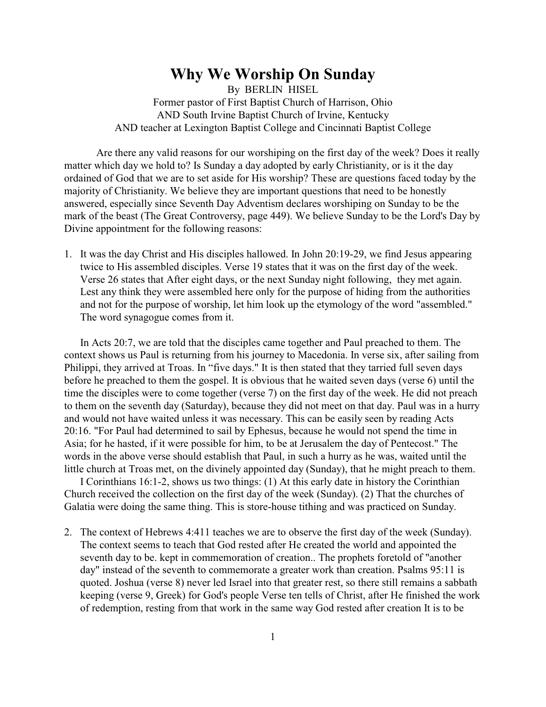## **Why We Worship On Sunday**

By BERLIN HISEL Former pastor of First Baptist Church of Harrison, Ohio AND South Irvine Baptist Church of Irvine, Kentucky AND teacher at Lexington Baptist College and Cincinnati Baptist College

Are there any valid reasons for our worshiping on the first day of the week? Does it really matter which day we hold to? Is Sunday a day adopted by early Christianity, or is it the day ordained of God that we are to set aside for His worship? These are questions faced today by the majority of Christianity. We believe they are important questions that need to be honestly answered, especially since Seventh Day Adventism declares worshiping on Sunday to be the mark of the beast (The Great Controversy, page 449). We believe Sunday to be the Lord's Day by Divine appointment for the following reasons:

1. It was the day Christ and His disciples hallowed. In John 20:19-29, we find Jesus appearing twice to His assembled disciples. Verse 19 states that it was on the first day of the week. Verse 26 states that After eight days, or the next Sunday night following, they met again. Lest any think they were assembled here only for the purpose of hiding from the authorities and not for the purpose of worship, let him look up the etymology of the word "assembled." The word synagogue comes from it.

In Acts 20:7, we are told that the disciples came together and Paul preached to them. The context shows us Paul is returning from his journey to Macedonia. In verse six, after sailing from Philippi, they arrived at Troas. In "five days." It is then stated that they tarried full seven days before he preached to them the gospel. It is obvious that he waited seven days (verse 6) until the time the disciples were to come together (verse 7) on the first day of the week. He did not preach to them on the seventh day (Saturday), because they did not meet on that day. Paul was in a hurry and would not have waited unless it was necessary. This can be easily seen by reading Acts 20:16. "For Paul had determined to sail by Ephesus, because he would not spend the time in Asia; for he hasted, if it were possible for him, to be at Jerusalem the day of Pentecost." The words in the above verse should establish that Paul, in such a hurry as he was, waited until the little church at Troas met, on the divinely appointed day (Sunday), that he might preach to them.

I Corinthians 16:1-2, shows us two things: (1) At this early date in history the Corinthian Church received the collection on the first day of the week (Sunday). (2) That the churches of Galatia were doing the same thing. This is store-house tithing and was practiced on Sunday.

2. The context of Hebrews 4:411 teaches we are to observe the first day of the week (Sunday). The context seems to teach that God rested after He created the world and appointed the seventh day to be. kept in commemoration of creation.. The prophets foretold of "another day" instead of the seventh to commemorate a greater work than creation. Psalms 95:11 is quoted. Joshua (verse 8) never led Israel into that greater rest, so there still remains a sabbath keeping (verse 9, Greek) for God's people Verse ten tells of Christ, after He finished the work of redemption, resting from that work in the same way God rested after creation It is to be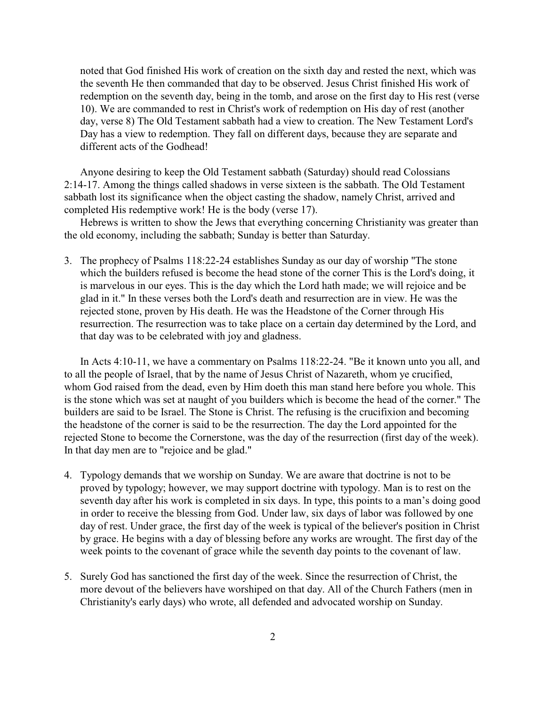noted that God finished His work of creation on the sixth day and rested the next, which was the seventh He then commanded that day to be observed. Jesus Christ finished His work of redemption on the seventh day, being in the tomb, and arose on the first day to His rest (verse 10). We are commanded to rest in Christ's work of redemption on His day of rest (another day, verse 8) The Old Testament sabbath had a view to creation. The New Testament Lord's Day has a view to redemption. They fall on different days, because they are separate and different acts of the Godhead!

Anyone desiring to keep the Old Testament sabbath (Saturday) should read Colossians 2:14-17. Among the things called shadows in verse sixteen is the sabbath. The Old Testament sabbath lost its significance when the object casting the shadow, namely Christ, arrived and completed His redemptive work! He is the body (verse 17).

Hebrews is written to show the Jews that everything concerning Christianity was greater than the old economy, including the sabbath; Sunday is better than Saturday.

3. The prophecy of Psalms 118:22-24 establishes Sunday as our day of worship "The stone which the builders refused is become the head stone of the corner This is the Lord's doing, it is marvelous in our eyes. This is the day which the Lord hath made; we will rejoice and be glad in it." In these verses both the Lord's death and resurrection are in view. He was the rejected stone, proven by His death. He was the Headstone of the Corner through His resurrection. The resurrection was to take place on a certain day determined by the Lord, and that day was to be celebrated with joy and gladness.

In Acts 4:10-11, we have a commentary on Psalms 118:22-24. "Be it known unto you all, and to all the people of Israel, that by the name of Jesus Christ of Nazareth, whom ye crucified, whom God raised from the dead, even by Him doeth this man stand here before you whole. This is the stone which was set at naught of you builders which is become the head of the corner." The builders are said to be Israel. The Stone is Christ. The refusing is the crucifixion and becoming the headstone of the corner is said to be the resurrection. The day the Lord appointed for the rejected Stone to become the Cornerstone, was the day of the resurrection (first day of the week). In that day men are to "rejoice and be glad."

- 4. Typology demands that we worship on Sunday. We are aware that doctrine is not to be proved by typology; however, we may support doctrine with typology. Man is to rest on the seventh day after his work is completed in six days. In type, this points to a man's doing good in order to receive the blessing from God. Under law, six days of labor was followed by one day of rest. Under grace, the first day of the week is typical of the believer's position in Christ by grace. He begins with a day of blessing before any works are wrought. The first day of the week points to the covenant of grace while the seventh day points to the covenant of law.
- 5. Surely God has sanctioned the first day of the week. Since the resurrection of Christ, the more devout of the believers have worshiped on that day. All of the Church Fathers (men in Christianity's early days) who wrote, all defended and advocated worship on Sunday.